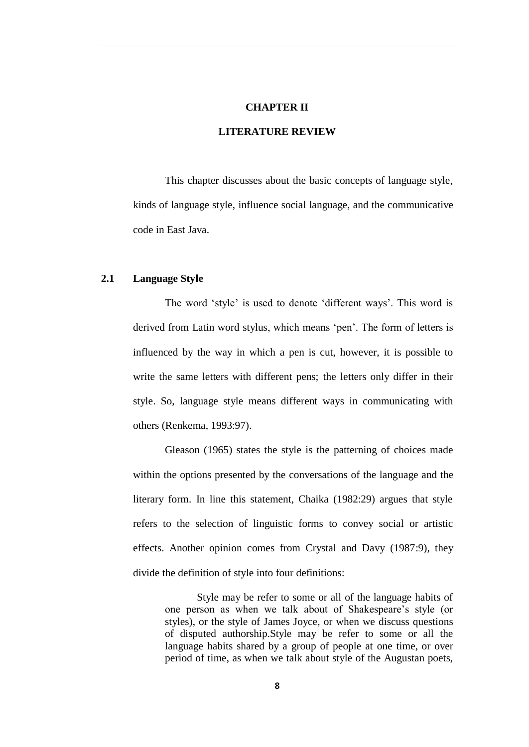#### **CHAPTER II**

# **LITERATURE REVIEW**

This chapter discusses about the basic concepts of language style, kinds of language style, influence social language, and the communicative code in East Java.

# **2.1 Language Style**

The word 'style' is used to denote 'different ways'. This word is derived from Latin word stylus, which means 'pen'. The form of letters is influenced by the way in which a pen is cut, however, it is possible to write the same letters with different pens; the letters only differ in their style. So, language style means different ways in communicating with others (Renkema, 1993:97).

Gleason (1965) states the style is the patterning of choices made within the options presented by the conversations of the language and the literary form. In line this statement, Chaika (1982:29) argues that style refers to the selection of linguistic forms to convey social or artistic effects. Another opinion comes from Crystal and Davy (1987:9), they divide the definition of style into four definitions:

> Style may be refer to some or all of the language habits of one person as when we talk about of Shakespeare's style (or styles), or the style of James Joyce, or when we discuss questions of disputed authorship.Style may be refer to some or all the language habits shared by a group of people at one time, or over period of time, as when we talk about style of the Augustan poets,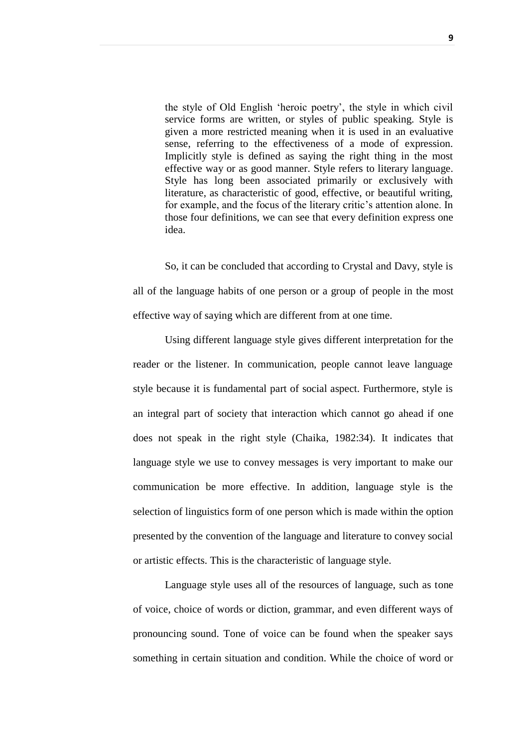the style of Old English 'heroic poetry', the style in which civil service forms are written, or styles of public speaking. Style is given a more restricted meaning when it is used in an evaluative sense, referring to the effectiveness of a mode of expression. Implicitly style is defined as saying the right thing in the most effective way or as good manner. Style refers to literary language. Style has long been associated primarily or exclusively with literature, as characteristic of good, effective, or beautiful writing, for example, and the focus of the literary critic's attention alone. In those four definitions, we can see that every definition express one idea.

So, it can be concluded that according to Crystal and Davy, style is all of the language habits of one person or a group of people in the most effective way of saying which are different from at one time.

Using different language style gives different interpretation for the reader or the listener. In communication, people cannot leave language style because it is fundamental part of social aspect. Furthermore, style is an integral part of society that interaction which cannot go ahead if one does not speak in the right style (Chaika, 1982:34). It indicates that language style we use to convey messages is very important to make our communication be more effective. In addition, language style is the selection of linguistics form of one person which is made within the option presented by the convention of the language and literature to convey social or artistic effects. This is the characteristic of language style.

Language style uses all of the resources of language, such as tone of voice, choice of words or diction, grammar, and even different ways of pronouncing sound. Tone of voice can be found when the speaker says something in certain situation and condition. While the choice of word or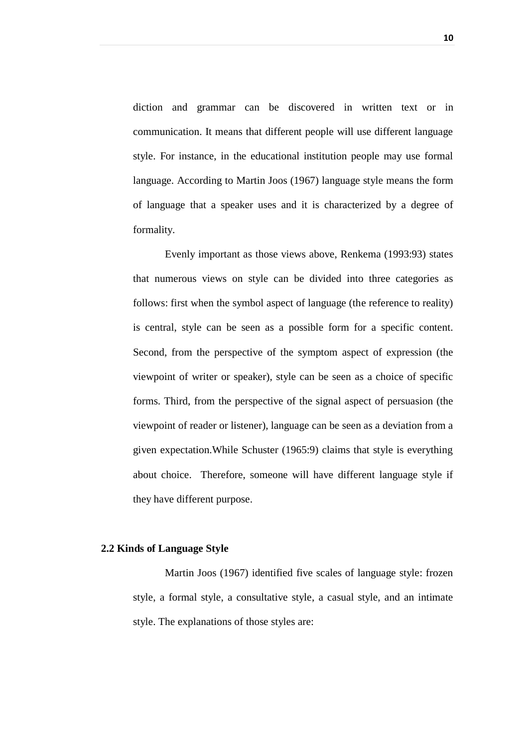diction and grammar can be discovered in written text or in communication. It means that different people will use different language style. For instance, in the educational institution people may use formal language. According to Martin Joos (1967) language style means the form of language that a speaker uses and it is characterized by a degree of formality.

Evenly important as those views above, Renkema (1993:93) states that numerous views on style can be divided into three categories as follows: first when the symbol aspect of language (the reference to reality) is central, style can be seen as a possible form for a specific content. Second, from the perspective of the symptom aspect of expression (the viewpoint of writer or speaker), style can be seen as a choice of specific forms. Third, from the perspective of the signal aspect of persuasion (the viewpoint of reader or listener), language can be seen as a deviation from a given expectation.While Schuster (1965:9) claims that style is everything about choice. Therefore, someone will have different language style if they have different purpose.

#### **2.2 Kinds of Language Style**

Martin Joos (1967) identified five scales of language style: frozen style, a formal style, a consultative style, a casual style, and an intimate style. The explanations of those styles are: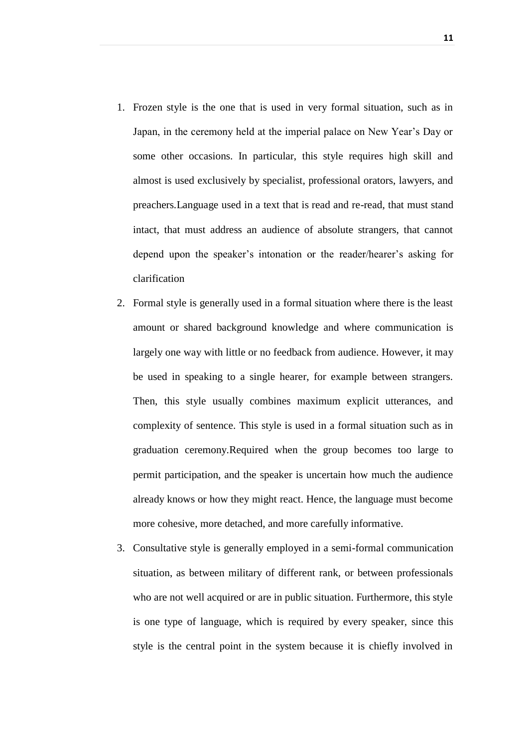- 1. Frozen style is the one that is used in very formal situation, such as in Japan, in the ceremony held at the imperial palace on New Year's Day or some other occasions. In particular, this style requires high skill and almost is used exclusively by specialist, professional orators, lawyers, and preachers.Language used in a text that is read and re-read, that must stand intact, that must address an audience of absolute strangers, that cannot depend upon the speaker's intonation or the reader/hearer's asking for clarification
- 2. Formal style is generally used in a formal situation where there is the least amount or shared background knowledge and where communication is largely one way with little or no feedback from audience. However, it may be used in speaking to a single hearer, for example between strangers. Then, this style usually combines maximum explicit utterances, and complexity of sentence. This style is used in a formal situation such as in graduation ceremony.Required when the group becomes too large to permit participation, and the speaker is uncertain how much the audience already knows or how they might react. Hence, the language must become more cohesive, more detached, and more carefully informative.
- 3. Consultative style is generally employed in a semi-formal communication situation, as between military of different rank, or between professionals who are not well acquired or are in public situation. Furthermore, this style is one type of language, which is required by every speaker, since this style is the central point in the system because it is chiefly involved in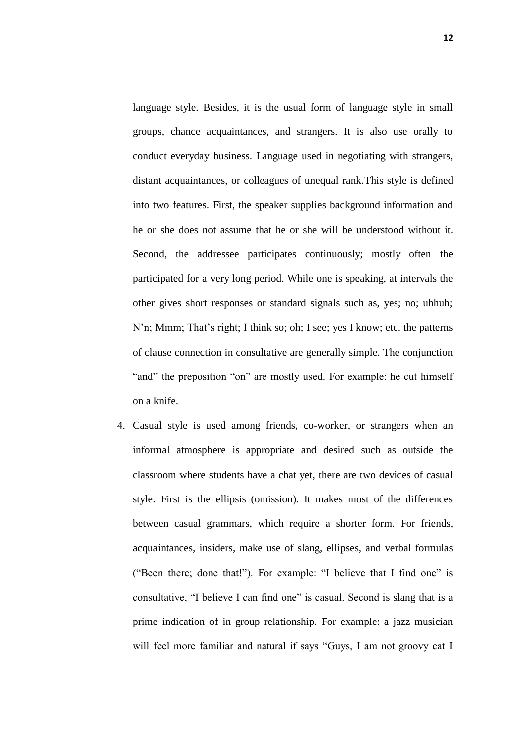language style. Besides, it is the usual form of language style in small groups, chance acquaintances, and strangers. It is also use orally to conduct everyday business. Language used in negotiating with strangers, distant acquaintances, or colleagues of unequal rank.This style is defined into two features. First, the speaker supplies background information and he or she does not assume that he or she will be understood without it. Second, the addressee participates continuously; mostly often the participated for a very long period. While one is speaking, at intervals the other gives short responses or standard signals such as, yes; no; uhhuh; N'n; Mmm; That's right; I think so; oh; I see; yes I know; etc. the patterns of clause connection in consultative are generally simple. The conjunction "and" the preposition "on" are mostly used. For example: he cut himself on a knife.

4. Casual style is used among friends, co-worker, or strangers when an informal atmosphere is appropriate and desired such as outside the classroom where students have a chat yet, there are two devices of casual style. First is the ellipsis (omission). It makes most of the differences between casual grammars, which require a shorter form. For friends, acquaintances, insiders, make use of slang, ellipses, and verbal formulas ("Been there; done that!"). For example: "I believe that I find one" is consultative, "I believe I can find one" is casual. Second is slang that is a prime indication of in group relationship. For example: a jazz musician will feel more familiar and natural if says "Guys, I am not groovy cat I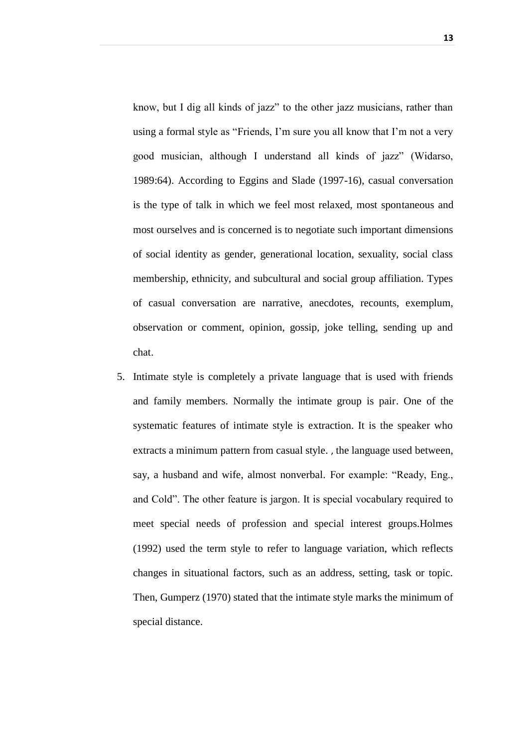know, but I dig all kinds of jazz" to the other jazz musicians, rather than using a formal style as "Friends, I'm sure you all know that I'm not a very good musician, although I understand all kinds of jazz" (Widarso, 1989:64). According to Eggins and Slade (1997-16), casual conversation is the type of talk in which we feel most relaxed, most spontaneous and most ourselves and is concerned is to negotiate such important dimensions of social identity as gender, generational location, sexuality, social class membership, ethnicity, and subcultural and social group affiliation. Types of casual conversation are narrative, anecdotes, recounts, exemplum, observation or comment, opinion, gossip, joke telling, sending up and chat.

5. Intimate style is completely a private language that is used with friends and family members. Normally the intimate group is pair. One of the systematic features of intimate style is extraction. It is the speaker who extracts a minimum pattern from casual style. , the language used between, say, a husband and wife, almost nonverbal. For example: "Ready, Eng., and Cold". The other feature is jargon. It is special vocabulary required to meet special needs of profession and special interest groups.Holmes (1992) used the term style to refer to language variation, which reflects changes in situational factors, such as an address, setting, task or topic. Then, Gumperz (1970) stated that the intimate style marks the minimum of special distance.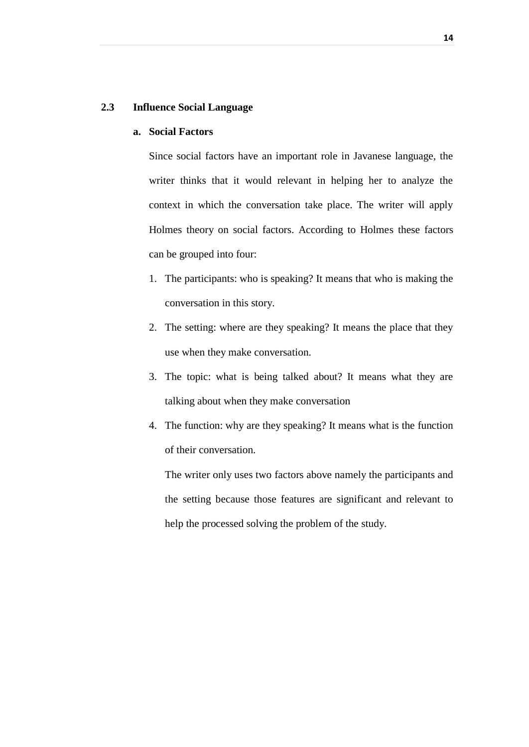#### **2.3 Influence Social Language**

### **a. Social Factors**

Since social factors have an important role in Javanese language, the writer thinks that it would relevant in helping her to analyze the context in which the conversation take place. The writer will apply Holmes theory on social factors. According to Holmes these factors can be grouped into four:

- 1. The participants: who is speaking? It means that who is making the conversation in this story.
- 2. The setting: where are they speaking? It means the place that they use when they make conversation.
- 3. The topic: what is being talked about? It means what they are talking about when they make conversation
- 4. The function: why are they speaking? It means what is the function of their conversation.

The writer only uses two factors above namely the participants and the setting because those features are significant and relevant to help the processed solving the problem of the study.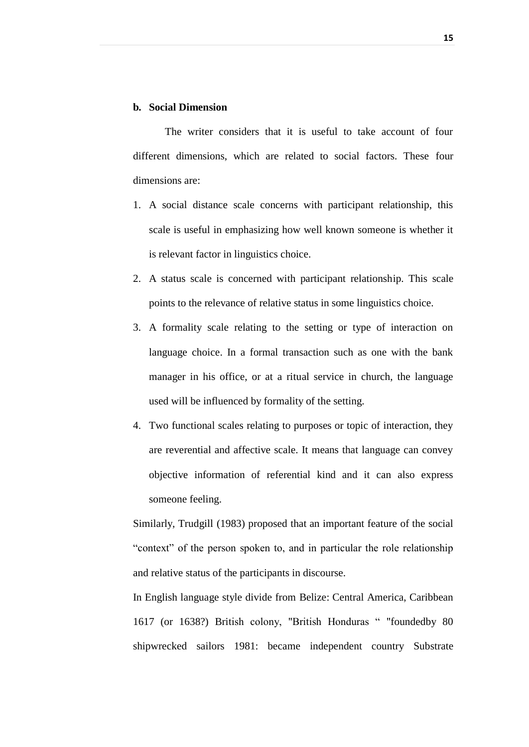#### **b. Social Dimension**

The writer considers that it is useful to take account of four different dimensions, which are related to social factors. These four dimensions are:

- 1. A social distance scale concerns with participant relationship, this scale is useful in emphasizing how well known someone is whether it is relevant factor in linguistics choice.
- 2. A status scale is concerned with participant relationship. This scale points to the relevance of relative status in some linguistics choice.
- 3. A formality scale relating to the setting or type of interaction on language choice. In a formal transaction such as one with the bank manager in his office, or at a ritual service in church, the language used will be influenced by formality of the setting.
- 4. Two functional scales relating to purposes or topic of interaction, they are reverential and affective scale. It means that language can convey objective information of referential kind and it can also express someone feeling.

Similarly, Trudgill (1983) proposed that an important feature of the social "context" of the person spoken to, and in particular the role relationship and relative status of the participants in discourse.

In English language style divide from Belize: Central America, Caribbean 1617 (or 1638?) British colony, "British Honduras " "foundedby 80 shipwrecked sailors 1981: became independent country Substrate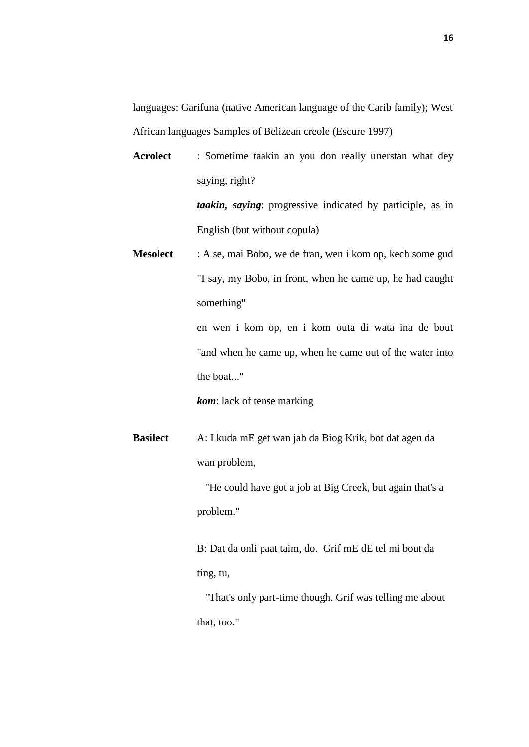languages: Garifuna (native American language of the Carib family); West African languages Samples of Belizean creole (Escure 1997)

**Acrolect** : Sometime taakin an you don really unerstan what dey saying, right? *taakin, saying*: progressive indicated by participle, as in English (but without copula)

**Mesolect** : A se, mai Bobo, we de fran, wen i kom op, kech some gud "I say, my Bobo, in front, when he came up, he had caught something"

> en wen i kom op, en i kom outa di wata ina de bout "and when he came up, when he came out of the water into the boat..."

*kom*: lack of tense marking

**Basilect** A: I kuda mE get wan jab da Biog Krik, bot dat agen da wan problem,

> "He could have got a job at Big Creek, but again that's a problem."

B: Dat da onli paat taim, do. Grif mE dE tel mi bout da ting, tu,

 "That's only part-time though. Grif was telling me about that, too."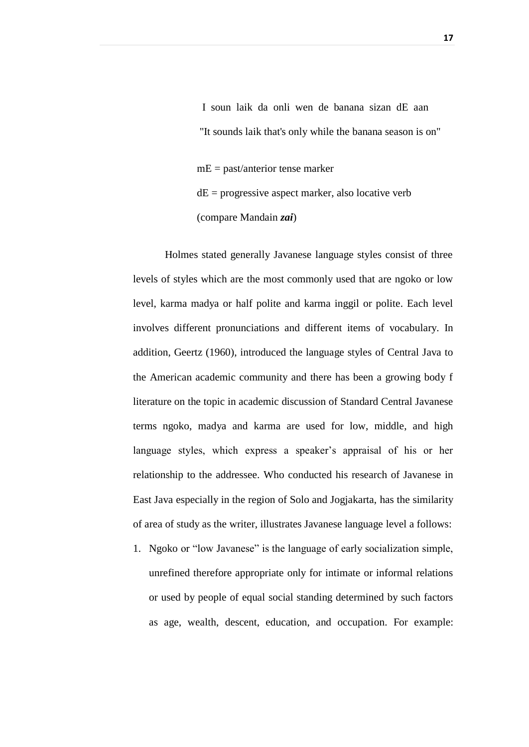I soun laik da onli wen de banana sizan dE aan "It sounds laik that's only while the banana season is on" mE = past/anterior tense marker  $dE =$  progressive aspect marker, also locative verb (compare Mandain *zai*)

Holmes stated generally Javanese language styles consist of three levels of styles which are the most commonly used that are ngoko or low level, karma madya or half polite and karma inggil or polite. Each level involves different pronunciations and different items of vocabulary. In addition, Geertz (1960), introduced the language styles of Central Java to the American academic community and there has been a growing body f literature on the topic in academic discussion of Standard Central Javanese terms ngoko, madya and karma are used for low, middle, and high language styles, which express a speaker's appraisal of his or her relationship to the addressee. Who conducted his research of Javanese in East Java especially in the region of Solo and Jogjakarta, has the similarity of area of study as the writer, illustrates Javanese language level a follows:

1. Ngoko or "low Javanese" is the language of early socialization simple, unrefined therefore appropriate only for intimate or informal relations or used by people of equal social standing determined by such factors as age, wealth, descent, education, and occupation. For example: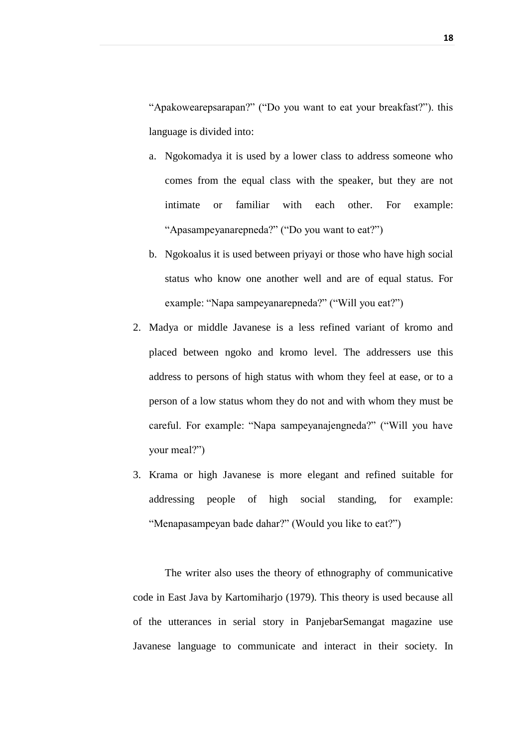"Apakowearepsarapan?" ("Do you want to eat your breakfast?"). this language is divided into:

- a. Ngokomadya it is used by a lower class to address someone who comes from the equal class with the speaker, but they are not intimate or familiar with each other. For example: "Apasampeyanarepneda?" ("Do you want to eat?")
- b. Ngokoalus it is used between priyayi or those who have high social status who know one another well and are of equal status. For example: "Napa sampeyanarepneda?" ("Will you eat?")
- 2. Madya or middle Javanese is a less refined variant of kromo and placed between ngoko and kromo level. The addressers use this address to persons of high status with whom they feel at ease, or to a person of a low status whom they do not and with whom they must be careful. For example: "Napa sampeyanajengneda?" ("Will you have your meal?")
- 3. Krama or high Javanese is more elegant and refined suitable for addressing people of high social standing, for example: "Menapasampeyan bade dahar?" (Would you like to eat?")

The writer also uses the theory of ethnography of communicative code in East Java by Kartomiharjo (1979). This theory is used because all of the utterances in serial story in PanjebarSemangat magazine use Javanese language to communicate and interact in their society. In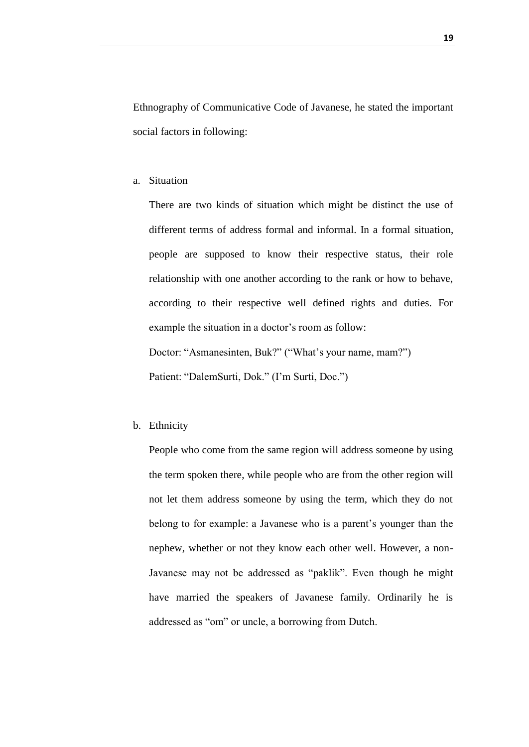Ethnography of Communicative Code of Javanese, he stated the important social factors in following:

a. Situation

There are two kinds of situation which might be distinct the use of different terms of address formal and informal. In a formal situation, people are supposed to know their respective status, their role relationship with one another according to the rank or how to behave, according to their respective well defined rights and duties. For example the situation in a doctor's room as follow:

Doctor: "Asmanesinten, Buk?" ("What's your name, mam?") Patient: "DalemSurti, Dok." (I'm Surti, Doc.")

b. Ethnicity

People who come from the same region will address someone by using the term spoken there, while people who are from the other region will not let them address someone by using the term, which they do not belong to for example: a Javanese who is a parent's younger than the nephew, whether or not they know each other well. However, a non-Javanese may not be addressed as "paklik". Even though he might have married the speakers of Javanese family. Ordinarily he is addressed as "om" or uncle, a borrowing from Dutch.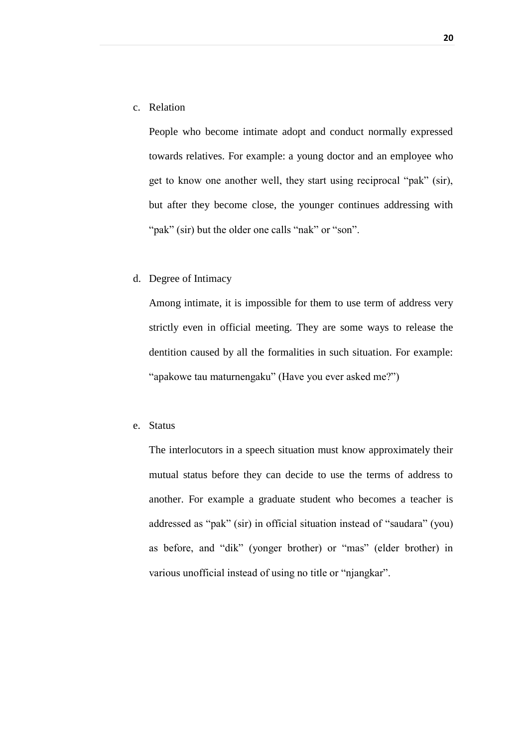c. Relation

People who become intimate adopt and conduct normally expressed towards relatives. For example: a young doctor and an employee who get to know one another well, they start using reciprocal "pak" (sir), but after they become close, the younger continues addressing with "pak" (sir) but the older one calls "nak" or "son".

d. Degree of Intimacy

Among intimate, it is impossible for them to use term of address very strictly even in official meeting. They are some ways to release the dentition caused by all the formalities in such situation. For example: "apakowe tau maturnengaku" (Have you ever asked me?")

e. Status

The interlocutors in a speech situation must know approximately their mutual status before they can decide to use the terms of address to another. For example a graduate student who becomes a teacher is addressed as "pak" (sir) in official situation instead of "saudara" (you) as before, and "dik" (yonger brother) or "mas" (elder brother) in various unofficial instead of using no title or "njangkar".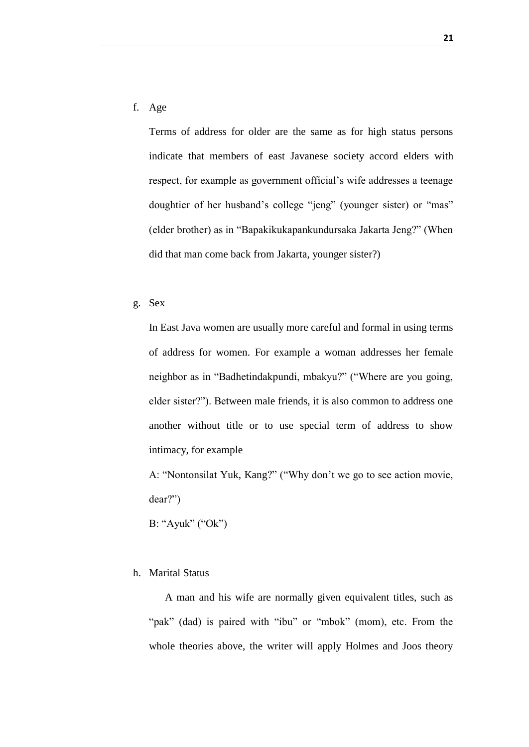f. Age

Terms of address for older are the same as for high status persons indicate that members of east Javanese society accord elders with respect, for example as government official's wife addresses a teenage doughtier of her husband's college "jeng" (younger sister) or "mas" (elder brother) as in "Bapakikukapankundursaka Jakarta Jeng?" (When did that man come back from Jakarta, younger sister?)

g. Sex

In East Java women are usually more careful and formal in using terms of address for women. For example a woman addresses her female neighbor as in "Badhetindakpundi, mbakyu?" ("Where are you going, elder sister?"). Between male friends, it is also common to address one another without title or to use special term of address to show intimacy, for example

A: "Nontonsilat Yuk, Kang?" ("Why don't we go to see action movie, dear?")

B: "Ayuk" ("Ok")

#### h. Marital Status

A man and his wife are normally given equivalent titles, such as "pak" (dad) is paired with "ibu" or "mbok" (mom), etc. From the whole theories above, the writer will apply Holmes and Joos theory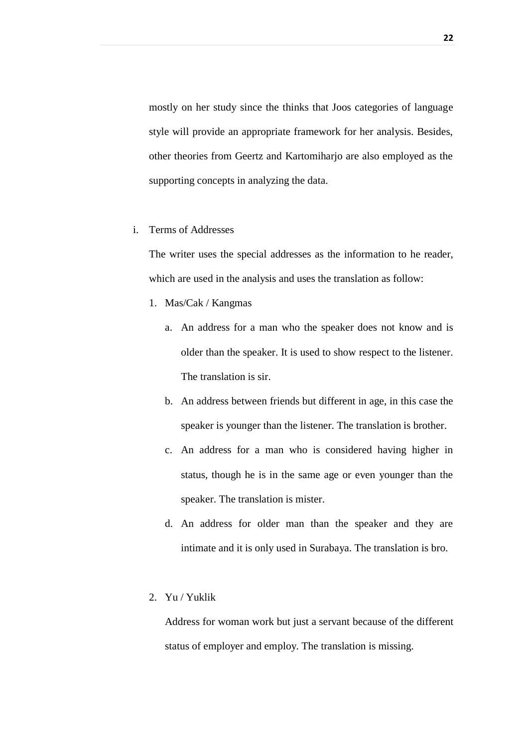mostly on her study since the thinks that Joos categories of language style will provide an appropriate framework for her analysis. Besides, other theories from Geertz and Kartomiharjo are also employed as the supporting concepts in analyzing the data.

i. Terms of Addresses

The writer uses the special addresses as the information to he reader, which are used in the analysis and uses the translation as follow:

- 1. Mas/Cak / Kangmas
	- a. An address for a man who the speaker does not know and is older than the speaker. It is used to show respect to the listener. The translation is sir.
	- b. An address between friends but different in age, in this case the speaker is younger than the listener. The translation is brother.
	- c. An address for a man who is considered having higher in status, though he is in the same age or even younger than the speaker. The translation is mister.
	- d. An address for older man than the speaker and they are intimate and it is only used in Surabaya. The translation is bro.
- 2. Yu / Yuklik

Address for woman work but just a servant because of the different status of employer and employ. The translation is missing.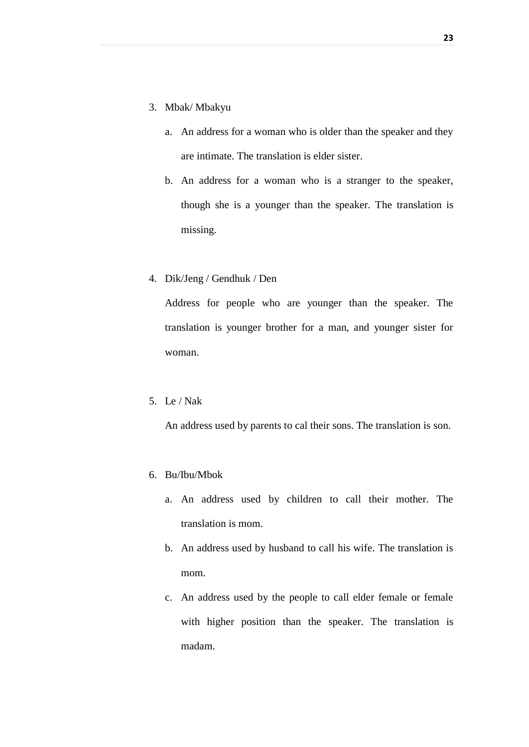- 3. Mbak/ Mbakyu
	- a. An address for a woman who is older than the speaker and they are intimate. The translation is elder sister.
	- b. An address for a woman who is a stranger to the speaker, though she is a younger than the speaker. The translation is missing.
- 4. Dik/Jeng / Gendhuk / Den

Address for people who are younger than the speaker. The translation is younger brother for a man, and younger sister for woman.

5. Le / Nak

An address used by parents to cal their sons. The translation is son.

- 6. Bu/Ibu/Mbok
	- a. An address used by children to call their mother. The translation is mom.
	- b. An address used by husband to call his wife. The translation is mom.
	- c. An address used by the people to call elder female or female with higher position than the speaker. The translation is madam.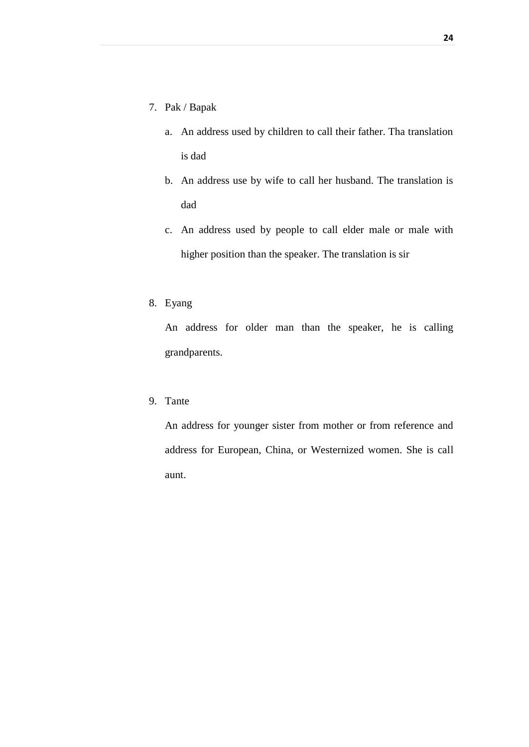- 7. Pak / Bapak
	- a. An address used by children to call their father. Tha translation is dad
	- b. An address use by wife to call her husband. The translation is dad
	- c. An address used by people to call elder male or male with higher position than the speaker. The translation is sir
- 8. Eyang

An address for older man than the speaker, he is calling grandparents.

9. Tante

An address for younger sister from mother or from reference and address for European, China, or Westernized women. She is call aunt.